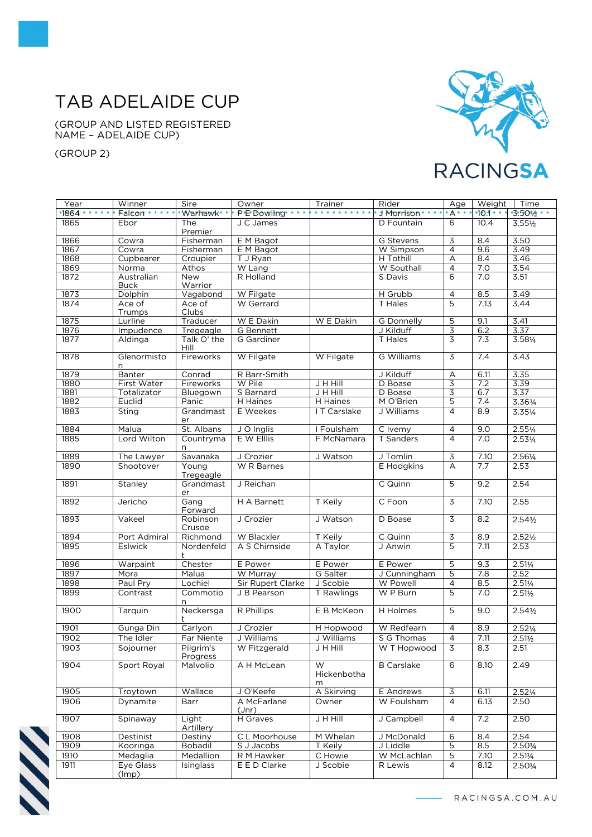## TAB ADELAIDE CUP

(GROUP AND LISTED REGISTERED NAME – ADELAIDE CUP)

(GROUP 2)



| Year  | Winner           | Sire                  | Owner             | Trainer               | Rider                   | Age            | Weight | Time               |
|-------|------------------|-----------------------|-------------------|-----------------------|-------------------------|----------------|--------|--------------------|
| 1864. | Falcon ·         | Warhawk*              | P'E' Dowling'     | .                     | J Morrison <sup>.</sup> | $A^{\bullet}$  | •10.1• | $-3.50\frac{1}{2}$ |
| 1865  | Ebor             | The<br>Premier        | J C James         |                       | D Fountain              | 6              | 10.4   | $3.55\frac{1}{2}$  |
| 1866  | Cowra            | Fisherman             | E M Bagot         |                       | G Stevens               | 3              | 8.4    | 3.50               |
| 1867  | Cowra            | Fisherman             | E M Bagot         |                       | W Simpson               | 4              | 9.6    | 3.49               |
| 1868  | Cupbearer        | Croupier              | T J Ryan          |                       | H Tothill               | A              | 8.4    | 3.46               |
| 1869  | Norma            | Athos                 | W Lang            |                       | W Southall              | $\overline{4}$ | 7.0    | 3.54               |
| 1872  | Australian       | <b>New</b>            | R Holland         |                       | S Davis                 | 6              | 7.0    | 3.51               |
|       | <b>Buck</b>      | Warrior               |                   |                       |                         |                |        |                    |
| 1873  | Dolphin          | Vagabond              | W Filgate         |                       | H Grubb                 | 4              | 8.5    | 3.49               |
| 1874  | Ace of           | Ace of                | W Gerrard         |                       | T Hales                 | 5              | 7.13   | 3.44               |
|       | Trumps           | Clubs                 |                   |                       |                         |                |        |                    |
| 1875  | Lurline          | Traducer              | W E Dakin         | W E Dakin             | G Donnelly              | 5              | 9.1    | 3.41               |
| 1876  | Impudence        | Tregeagle             | G Bennett         |                       | J Kilduff               | 3              | 6.2    | 3.37               |
| 1877  | Aldinga          | Talk O' the           | G Gardiner        |                       | T Hales                 | $\overline{3}$ | 7.3    | 3.581/4            |
|       |                  | Hill                  |                   |                       |                         |                |        |                    |
| 1878  | Glenormisto<br>n | Fireworks             | W Filgate         | W Filgate             | G Williams              | $\overline{3}$ | 7.4    | 3.43               |
| 1879  | Banter           | Conrad                | R Barr-Smith      |                       | J Kilduff               | A              | 6.11   | 3.35               |
| 1880  | First Water      | Fireworks             | W Pile            | J H Hill              | D Boase                 | 3              | 7.2    | 3.39               |
| 1881  | Totalizator      | Bluegown              | S Barnard         | <b>JHHill</b>         | D Boase                 | $\overline{3}$ | 6.7    | 3.37               |
| 1882  | Euclid           | Panic                 | H Haines          | H Haines              | M O'Brien               | $\overline{5}$ | 7.4    | 3.361/4            |
| 1883  | Sting            | Grandmast             | E Weekes          | I T Carslake          | J Williams              | $\overline{4}$ | 8.9    | 3.351/4            |
|       |                  | er                    |                   |                       |                         |                |        |                    |
| 1884  | Malua            | St. Albans            | J O Inglis        | I Foulsham            | C Ivemy                 | $\overline{4}$ | 9.0    | $2.55\frac{1}{4}$  |
| 1885  | Lord Wilton      | Countryma<br>n        | E W Elllis        | F McNamara            | T Sanders               | 4              | 7.0    | 2.531/4            |
| 1889  | The Lawyer       | Savanaka              | J Crozier         | J Watson              | J Tomlin                | $\overline{3}$ | 7.10   | 2.561/4            |
| 1890  | Shootover        | Young                 | W R Barnes        |                       | E Hodgkins              | A              | 7.7    | 2.53               |
|       |                  | Tregeagle             |                   |                       |                         |                |        |                    |
| 1891  | Stanley          | Grandmast             | J Reichan         |                       | C Quinn                 | 5              | 9.2    | 2.54               |
|       |                  | er                    |                   |                       |                         |                |        |                    |
| 1892  | Jericho          | Gang<br>Forward       | H A Barnett       | T Keily               | C Foon                  | $\overline{3}$ | 7.10   | 2.55               |
| 1893  | Vakeel           | Robinson<br>Crusoe    | J Crozier         | J Watson              | D Boase                 | $\overline{3}$ | 8.2    | $2.54\frac{1}{2}$  |
| 1894  | Port Admiral     | Richmond              | W Blacxler        | T Keily               | C Quinn                 | 3              | 8.9    | $2.52\frac{1}{2}$  |
| 1895  | Eslwick          | Nordenfeld<br>t       | A S Chirnside     | A Taylor              | J Anwin                 | 5              | 7.11   | 2.53               |
| 1896  | Warpaint         | Chester               | E Power           | E Power               | E Power                 | 5              | 9.3    | 2.51%              |
| 1897  | Mora             | Malua                 | W Murray          | G Salter              | J Cunningham            | 5              | 7.8    | 2.52               |
| 1898  | Paul Pry         | Lochiel               | Sir Rupert Clarke | J Scobie              | W Powell                | $\overline{4}$ | 8.5    |                    |
|       |                  |                       | J B Pearson       |                       |                         | $\overline{5}$ | 7.0    | $2.51\frac{1}{4}$  |
| 1899  | Contrast         | Commotio<br>n         |                   | T Rawlings            | W P Burn                |                |        | $2.51\frac{1}{2}$  |
| 1900  | Tarquin          | Neckersga<br>t.       | R Phillips        | E B McKeon            | H Holmes                | $\overline{5}$ | 9.0    | $2.54\frac{1}{2}$  |
| 1901  | Gunga Din        | Carlyon               | J Crozier         | H Hopwood             | W Redfearn              | $\overline{4}$ | 8.9    | $2.52\frac{1}{4}$  |
| 1902  | The Idler        | Far Niente            | J Williams        | J Williams            | S G Thomas              | $\overline{4}$ | 7.11   | $2.51\frac{1}{2}$  |
| 1903  | Sojourner        | Pilgrim's<br>Progress | W Fitzgerald      | J H Hill              | W T Hopwood             | 3              | 8.3    | 2.51               |
| 1904  | Sport Royal      | Malvolio              | A H McLean        | W<br>Hickenbotha<br>m | <b>B</b> Carslake       | $\overline{6}$ | 8.10   | 2.49               |
| 1905  | Troytown         | Wallace               | J O'Keefe         | A Skirving            | E Andrews               | $\overline{3}$ | 6.11   | $2.52\frac{1}{4}$  |
| 1906  | Dynamite         | Barr                  | A McFarlane       | Owner                 | W Foulsham              | $\overline{4}$ | 6.13   | 2.50               |
|       |                  |                       | $Jnr$ )           |                       |                         |                |        |                    |
| 1907  | Spinaway         | Light<br>Artillery    | H Graves          | J H Hill              | J Campbell              | $\overline{4}$ | 7.2    | 2.50               |
| 1908  | Destinist        | Destiny               | C L Moorhouse     | M Whelan              | J McDonald              | 6              | 8.4    | 2.54               |
| 1909  | Kooringa         | Bobadil               | S J Jacobs        | T Keily               | J Liddle                | 5              | 8.5    | 2.501/4            |
| 1910  | Medaglia         | Medallion             | R M Hawker        | C Howie               | W McLachlan             | 5              | 7.10   | $2.51\frac{1}{4}$  |
| 1911  | Eye Glass        | Isinglass             | E E D Clarke      | J Scobie              | R Lewis                 | $\overline{4}$ | 8.12   | 2.501/4            |
|       | (lmp)            |                       |                   |                       |                         |                |        |                    |

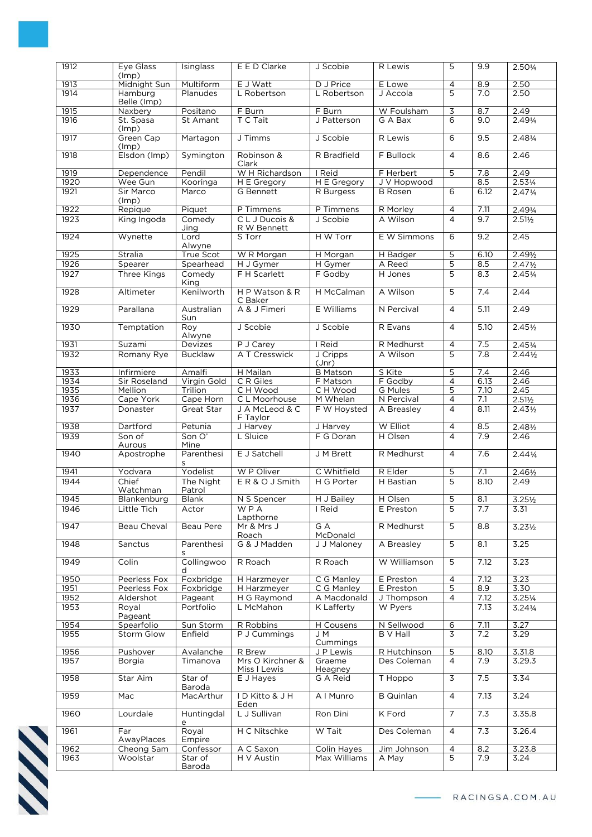| 1912         | Eye Glass                | Isinglass             | E E D Clarke                 | J Scobie                     | R Lewis                       | 5                    | 9.9                 | 2.501/4                   |
|--------------|--------------------------|-----------------------|------------------------------|------------------------------|-------------------------------|----------------------|---------------------|---------------------------|
| 1913         | (lmp)<br>Midnight Sun    | Multiform             | E J Watt                     | D J Price                    | E Lowe                        | $\overline{4}$       | 8.9                 | 2.50                      |
| 1914         | Hamburg<br>Belle (Imp)   | Planudes              | L Robertson                  | L Robertson                  | J Accola                      | 5                    | 7.0                 | 2.50                      |
| 1915         | <b>Naxbery</b>           | Positano              | F Burn                       | F Burn                       | W Foulsham                    | 3                    | 8.7                 | 2.49                      |
| 1916         | St. Spasa<br>(lmp)       | St Amant              | T C Tait                     | J Patterson                  | G A Bax                       | 6                    | 9.0                 | 2.491/4                   |
| 1917         | Green Cap<br>(lmp)       | Martagon              | J Timms                      | J Scobie                     | R Lewis                       | 6                    | 9.5                 | 2.481/4                   |
| 1918         | Elsdon (Imp)             | Symington             | Robinson &<br>Clark          | R Bradfield                  | F Bullock                     | $\overline{4}$       | 8.6                 | 2.46                      |
| 1919         | Dependence               | Pendil                | W H Richardson               | I Reid                       | F Herbert                     | 5                    | 7.8                 | 2.49                      |
| 1920         | Wee Gun                  | Kooringa              | H E Gregory                  | H E Gregory                  | J V Hopwood                   |                      | 8.5                 | $2.53\frac{1}{4}$         |
| 1921         | Sir Marco<br>(lmp)       | Marco                 | G Bennett                    | R Burgess                    | <b>B</b> Rosen                | 6                    | 6.12                | 2.471/4                   |
| 1922         | Repique                  | Piquet                | P Timmens                    | P Timmens                    | R Morley                      | $\overline{4}$       | 7.11                | 2.491/4                   |
| 1923         | King Ingoda              | Comedy<br>Jing        | CL J Ducois &<br>R W Bennett | J Scobie                     | A Wilson                      | $\overline{4}$       | 9.7                 | $2.51\frac{1}{2}$         |
| 1924         | Wynette                  | Lord<br>Alwyne        | S Torr                       | H W Torr                     | E W Simmons                   | 6                    | 9.2                 | 2.45                      |
| 1925         | Stralia                  | True Scot             | W R Morgan                   | H Morgan                     | H Badger                      | 5                    | 6.10                | 2.491/2                   |
| 1926         | Spearer                  | Spearhead             | H J Gymer                    | H Gymer                      | A Reed                        | 5                    | 8.5                 | $2.47\frac{1}{2}$         |
| 1927         | Three Kings              | Comedy<br>King        | F H Scarlett                 | F Godby                      | H Jones                       | 5                    | 8.3                 | 2.451/4                   |
| 1928         | Altimeter                | Kenilworth            | HP Watson & R<br>C Baker     | H McCalman                   | A Wilson                      | 5                    | $\overline{7.4}$    | 2.44                      |
| 1929         | Parallana                | Australian<br>Sun     | A & J Fimeri                 | E Williams                   | N Percival                    | $\overline{4}$       | 5.11                | 2.49                      |
| 1930         | Temptation               | Roy<br>Alwyne         | J Scobie                     | J Scobie                     | R Evans                       | $\overline{4}$       | 5.10                | $2.45\frac{1}{2}$         |
| 1931         | Suzami                   | Devizes               | $\overline{P}$ J Carey       | I Reid                       | R Medhurst                    | $\overline{4}$       | 7.5                 | $2.45\frac{1}{4}$         |
| 1932         | Romany Rye               | <b>Bucklaw</b>        | A T Cresswick                | J Cripps<br>(Jnr)            | A Wilson                      | 5                    | 7.8                 | $2.44\frac{1}{2}$         |
| 1933         | Infirmiere               | Amalfi                | H Mailan                     | <b>B</b> Matson              | S Kite                        | 5                    | 7.4                 | 2.46                      |
| 1934         | Sir Roseland             | Virgin Gold           | C R Giles                    | F Matson                     | F Godby                       | 4                    | 6.13                | 2.46                      |
| 1935         | Mellion                  | Trilion               | CH Wood                      | CH Wood                      | G Mules                       | 5                    | 7.10                | 2.45                      |
| 1936         | Cape York                | Cape Horn             | C L Moorhouse                | M Whelan                     | N Percival                    | $\overline{4}$       | 7.1                 | $2.51\frac{1}{2}$         |
| 1937         | Donaster                 | Great Star            | J A McLeod & C<br>F Taylor   | F W Hoysted                  | A Breasley                    | $\overline{4}$       | 8.11                | $2.43\frac{1}{2}$         |
| 1938         | Dartford                 | Petunia               | J Harvey                     | J Harvey                     | W Elliot                      | $\overline{4}$       | 8.5                 | 2.481/2                   |
| 1939         | Son of<br>Aurous         | Son O'<br>Mine        | L Sluice                     | F G Doran                    | H Olsen                       | 4                    | 7.9                 | 2.46                      |
| 1940         | Apostrophe               | Parenthesi<br>S       | E J Satchell                 | J M Brett                    | R Medhurst                    | $\overline{4}$       | 7.6                 | $2.44\frac{1}{4}$         |
| 1941<br>1944 | Yodvara<br>Chief         | Yodelist<br>The Night | W P Oliver<br>ER&OJSmith     | C Whitfield<br>H G Porter    | R Elder<br>H Bastian          | 5<br>5               | 7.1<br>8.10         | $2.46\frac{1}{2}$<br>2.49 |
|              | Watchman                 | Patrol                |                              |                              |                               |                      |                     |                           |
| 1945         | Blankenburg              | <b>Blank</b>          | N S Spencer                  | H J Bailey                   | H Olsen                       | 5                    | 8.1                 | $3.25\frac{1}{2}$         |
| 1946         | Little Tich              | Actor                 | W P A<br>Lapthorne           | I Reid                       | E Preston                     | 5                    | $\frac{\ell}{\ell}$ | 5.51                      |
| 1947         | Beau Cheval              | Beau Pere             | Mr & Mrs J<br>Roach          | $G \overline{A}$<br>McDonald | R Medhurst                    | $\overline{5}$       | 8.8                 | $3.23\frac{1}{2}$         |
| 1948         | Sanctus                  | Parenthesi<br>s       | G & J Madden                 | J J Maloney                  | A Breasley                    | 5                    | 8.1                 | 3.25                      |
| 1949         | Colin                    | Collingwoo<br>d       | R Roach                      | R Roach                      | W Williamson                  | 5                    | 7.12                | 3.23                      |
| 1950         | Peerless Fox             | Foxbridge             | H Harzmeyer                  | C G Manley                   | E Preston                     | $\overline{4}$       | 7.12                | 3.23                      |
| 1951         | Peerless Fox             | Foxbridge             | H Harzmeyer                  | C G Manley                   | E Preston                     | 5                    | 8.9                 | 3.30                      |
| 1952         | Aldershot                | Pageant               | H G Raymond                  | A Macdonald                  | J Thompson                    | 4                    | 7.12                | $3.25\frac{1}{4}$         |
| 1953         | Royal<br>Pageant         | Portfolio             | L McMahon                    | K Lafferty                   | W Pyers                       |                      | 7.13                | 3.241/4                   |
| 1954<br>1955 | Spearfolio<br>Storm Glow | Sun Storm<br>Enfield  | R Robbins<br>P J Cummings    | H Cousens<br>J M             | N Sellwood<br><b>B</b> V Hall | $6 \overline{}$<br>3 | 7.11<br>7.2         | 3.27<br>3.29              |
|              |                          |                       |                              | Cummings                     |                               |                      |                     |                           |
| 1956<br>1957 | Pushover<br>Borgia       | Avalanche<br>Timanova | R Brew<br>Mrs O Kirchner &   | J P Lewis<br>Graeme          | R Hutchinson<br>Des Coleman   | 5<br>$\overline{4}$  | 8.10<br>7.9         | 3.31.8<br>3.29.3          |
|              |                          |                       | Miss I Lewis                 | Heagney                      |                               |                      |                     |                           |
| 1958         | Star Aim                 | Star of<br>Baroda     | E J Hayes                    | G A Reid                     | T Hoppo                       | $\overline{3}$       | 7.5                 | 3.34                      |
| 1959         | Mac                      | MacArthur             | ID Kitto & J H<br>Eden       | A I Munro                    | <b>B</b> Quinlan              | $\overline{4}$       | 7.13                | 3.24                      |
| 1960         | Lourdale                 | Huntingdal<br>e       | L J Sullivan                 | Ron Dini                     | K Ford                        | $\overline{7}$       | 7.3                 | 3.35.8                    |
| 1961         | Far<br>AwayPlaces        | Royal<br>Empire       | H C Nitschke                 | W Tait                       | Des Coleman                   | $\overline{4}$       | 7.3                 | 3.26.4                    |
| 1962         | Cheong Sam               | Confessor             | A C Saxon                    | Colin Hayes                  | Jim Johnson                   | 4                    | 8.2                 | 3.23.8                    |
| 1963         | Woolstar                 | Star of<br>Baroda     | H V Austin                   | Max Williams                 | A May                         | 5                    | 7.9                 | 3.24                      |

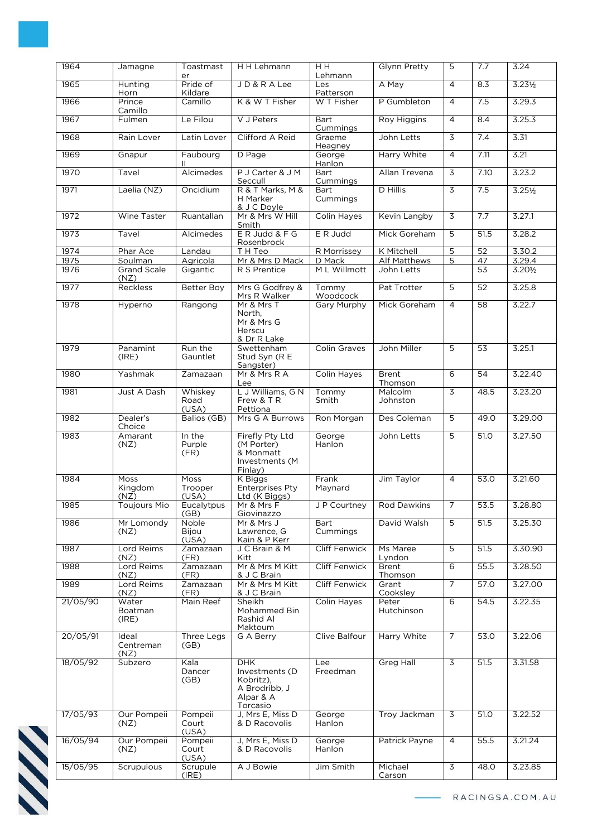| 1964     | Jamagne                    | Toastmast<br>er          | H H Lehmann                                                                         | H H<br>Lehmann       | Glynn Pretty            | 5              | 7.7             | 3.24              |
|----------|----------------------------|--------------------------|-------------------------------------------------------------------------------------|----------------------|-------------------------|----------------|-----------------|-------------------|
| 1965     | Hunting<br>Horn            | Pride of<br>Kildare      | JD&RALee                                                                            | Les<br>Patterson     | A May                   | $\overline{4}$ | 8.3             | $3.23\frac{1}{2}$ |
| 1966     | Prince                     | Camillo                  | K & W T Fisher                                                                      | W T Fisher           | P Gumbleton             | $\overline{4}$ | 7.5             | 3.29.3            |
| 1967     | Camillo<br>Fulmen          | Le Filou                 | V J Peters                                                                          | Bart<br>Cummings     | Roy Higgins             | $\overline{4}$ | 8.4             | 3.25.3            |
| 1968     | Rain Lover                 | Latin Lover              | Clifford A Reid                                                                     | Graeme<br>Heagney    | John Letts              | 3              | 7.4             | 3.31              |
| 1969     | Gnapur                     | Faubourg<br>$\mathbf{H}$ | D Page                                                                              | George<br>Hanlon     | Harry White             | $\overline{4}$ | 7.11            | 3.21              |
| 1970     | Tavel                      | Alcimedes                | P J Carter & J M<br>Seccull                                                         | Bart<br>Cummings     | Allan Trevena           | 3              | 7.10            | 3.23.2            |
| 1971     | Laelia (NZ)                | Oncidium                 | R & T Marks, M &<br>H Marker<br>& J C Doyle                                         | Bart<br>Cummings     | D Hillis                | $\overline{3}$ | 7.5             | $3.25\frac{1}{2}$ |
| 1972     | <b>Wine Taster</b>         | Ruantallan               | Mr & Mrs W Hill<br>Smith                                                            | <b>Colin Hayes</b>   | Kevin Langby            | $\overline{3}$ | 7.7             | 3.27.1            |
| 1973     | Tavel                      | Alcimedes                | ER Judd & F G<br>Rosenbrock                                                         | E R Judd             | Mick Goreham            | 5              | 51.5            | 3.28.2            |
| 1974     | Phar Ace                   | Landau                   | T H Teo                                                                             | R Morrissey          | K Mitchell              | 5              | 52              | 3.30.2            |
| 1975     | Soulman                    | Agricola                 | Mr & Mrs D Mack                                                                     | D Mack               | <b>Alf Matthews</b>     | 5              | 47              | 3.29.4            |
| 1976     | <b>Grand Scale</b><br>(NZ) | Gigantic                 | R S Prentice                                                                        | M L Willmott         | John Letts              |                | 53              | $3.20\frac{1}{2}$ |
| 1977     | <b>Reckless</b>            | Better Boy               | Mrs G Godfrey &<br>Mrs R Walker                                                     | Tommy<br>Woodcock    | Pat Trotter             | $\overline{5}$ | $\overline{52}$ | 3.25.8            |
| 1978     | Hyperno                    | Rangong                  | Mr & Mrs T<br>North,<br>Mr & Mrs G<br>Herscu<br>& Dr R Lake                         | <b>Gary Murphy</b>   | Mick Goreham            | $\overline{4}$ | 58              | 3.22.7            |
| 1979     | Panamint<br>(IRE)          | Run the<br>Gauntlet      | Swettenham<br>Stud Syn (R E<br>Sangster)                                            | <b>Colin Graves</b>  | John Miller             | $\overline{5}$ | 53              | 3.25.1            |
| 1980     | Yashmak                    | Zamazaan                 | Mr & Mrs R A<br>Lee                                                                 | Colin Hayes          | <b>Brent</b><br>Thomson | 6              | $\overline{54}$ | 3.22.40           |
| 1981     | Just A Dash                | Whiskey<br>Road<br>(USA) | L J Williams, G N<br>Frew & T R<br>Pettiona                                         | Tommy<br>Smith       | Malcolm<br>Johnston     | $\overline{3}$ | 48.5            | 3.23.20           |
| 1982     | Dealer's<br>Choice         | Balios (GB)              | Mrs G A Burrows                                                                     | Ron Morgan           | Des Coleman             | 5              | 49.0            | 3.29.00           |
| 1983     | Amarant<br>(NZ)            | In the<br>Purple<br>(FR) | Firefly Pty Ltd<br>(M Porter)<br>& Monmatt<br>Investments (M<br>Finlay)             | George<br>Hanlon     | John Letts              | 5              | 51.0            | 3.27.50           |
| 1984     | Moss<br>Kingdom<br>(NZ)    | Moss<br>Trooper<br>(USA) | K Biggs<br><b>Enterprises Pty</b><br>Ltd (K Biggs)                                  | Frank<br>Maynard     | Jim Taylor              | 4              | 53.0            | 3.21.60           |
| 1985     | <b>Toujours Mio</b>        | Eucalytpus<br>(GB)       | Mr & Mrs F<br>Giovinazzo                                                            | JP Courtney          | <b>Rod Dawkins</b>      | $\overline{7}$ | 53.5            | 3.28.80           |
| 1986     | Mr Lomondy<br>(NZ)         | Noble<br>Bijou<br>(USA)  | Mr & Mrs J<br>Lawrence, G<br>Kain & P Kerr                                          | Bart<br>Cummings     | David Walsh             | 5              | 51.5            | 3.25.30           |
| 1987     | Lord Reims<br>(NZ)         | Zamazaan<br>(FR)         | J C Brain & M<br>Kitt                                                               | <b>Cliff Fenwick</b> | Ms Maree<br>Lyndon      | $\overline{5}$ | 51.5            | 3.30.90           |
| 1988     | Lord Reims<br>(NZ)         | Zamazaan<br>(FR)         | Mr & Mrs M Kitt<br>& J C Brain                                                      | <b>Cliff Fenwick</b> | <b>Brent</b><br>Thomson | 6              | 55.5            | 3.28.50           |
| 1989     | Lord Reims<br>(NZ)         | Zamazaan<br>(FR)         | Mr & Mrs M Kitt<br>& J C Brain                                                      | <b>Cliff Fenwick</b> | Grant<br>Cooksley       | $\overline{7}$ | 57.0            | 3.27.00           |
| 21/05/90 | Water<br>Boatman<br>(IRE)  | Main Reef                | Sheikh<br>Mohammed Bin<br>Rashid Al<br>Maktoum                                      | <b>Colin Hayes</b>   | Peter<br>Hutchinson     | 6              | 54.5            | 3.22.35           |
| 20/05/91 | Ideal<br>Centreman<br>(NZ) | Three Legs<br>(GB)       | G A Berry                                                                           | Clive Balfour        | Harry White             | $\overline{7}$ | 53.0            | 3.22.06           |
| 18/05/92 | Subzero                    | Kala<br>Dancer<br>(GB)   | <b>DHK</b><br>Investments (D<br>Kobritz),<br>A Brodribb, J<br>Alpar & A<br>Torcasio | Lee<br>Freedman      | <b>Greg Hall</b>        | $\overline{3}$ | 51.5            | 3.31.58           |
| 17/05/93 | Our Pompeii<br>(NZ)        | Pompeii<br>Court         | J, Mrs E, Miss D<br>& D Racovolis                                                   | George<br>Hanlon     | Troy Jackman            | 3              | 51.0            | 3.22.52           |
| 16/05/94 | Our Pompeii                | (USA)<br>Pompeii         | J, Mrs E, Miss D<br>& D Racovolis                                                   | George               | Patrick Payne           | 4              | 55.5            | 3.21.24           |
|          | (NZ)                       | Court<br>(USA)           |                                                                                     | Hanlon               |                         |                |                 |                   |
| 15/05/95 | Scrupulous                 | Scrupule<br>(IRE)        | A J Bowie                                                                           | Jim Smith            | Michael<br>Carson       | $\overline{3}$ | 48.0            | 3.23.85           |

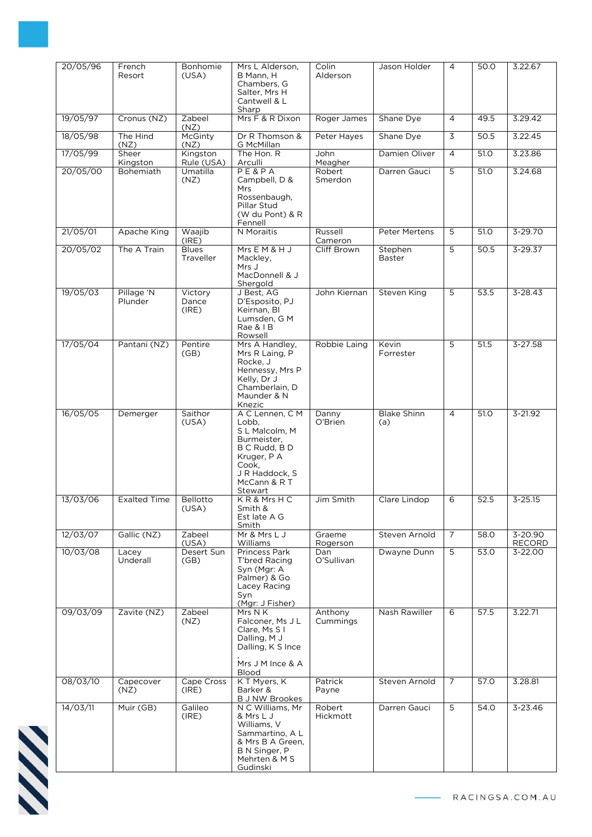| 20/05/96 | French<br>Resort          | Bonhomie<br>(USA)              | Mrs L Alderson,<br>B Mann, H                                                                                                                    | Colin<br>Alderson   | Jason Holder              | $\overline{4}$ | 50.0 | 3.22.67           |
|----------|---------------------------|--------------------------------|-------------------------------------------------------------------------------------------------------------------------------------------------|---------------------|---------------------------|----------------|------|-------------------|
|          |                           |                                | Chambers, G<br>Salter, Mrs H<br>Cantwell & L                                                                                                    |                     |                           |                |      |                   |
| 19/05/97 | Cronus (NZ)               | Zabeel                         | Sharp<br>Mrs F & R Dixon                                                                                                                        | Roger James         | Shane Dye                 | $\overline{4}$ | 49.5 | 3.29.42           |
| 18/05/98 | The Hind                  | (NZ)<br>McGinty                | Dr R Thomson &                                                                                                                                  | Peter Hayes         | Shane Dye                 | $\overline{3}$ | 50.5 | 3.22.45           |
| 17/05/99 | (NZ)<br>Sheer<br>Kingston | (NZ)<br>Kingston<br>Rule (USA) | G McMillan<br>The Hon. R<br>Arculli                                                                                                             | John<br>Meagher     | Damien Oliver             | $\overline{4}$ | 51.0 | 3.23.86           |
| 20/05/00 | Bohemiath                 | Umatilla                       | P E & P A<br>Campbell, D &                                                                                                                      | Robert              | Darren Gauci              | 5              | 51.0 | 3.24.68           |
|          |                           | (NZ)                           | Mrs<br>Rossenbaugh,<br>Pillar Stud<br>(W du Pont) & R<br>Fennell                                                                                | Smerdon             |                           |                |      |                   |
| 21/05/01 | Apache King               | Waajib<br>(IRE)                | N Moraitis                                                                                                                                      | Russell<br>Cameron  | Peter Mertens             | 5              | 51.0 | $3 - 29.70$       |
| 20/05/02 | The A Train               | <b>Blues</b><br>Traveller      | Mrs E M & H J<br>Mackley,<br>Mrs J<br>MacDonnell & J<br>Shergold                                                                                | Cliff Brown         | Stephen<br><b>Baster</b>  | $\overline{5}$ | 50.5 | 3-29.37           |
| 19/05/03 | Pillage 'N<br>Plunder     | Victory<br>Dance<br>(IRE)      | J Best, AG<br>D'Esposito, PJ<br>Keirnan, BI<br>Lumsden, G M<br>Rae & I B<br>Rowsell                                                             | John Kiernan        | Steven King               | $\overline{5}$ | 53.5 | $3 - 28.43$       |
| 17/05/04 | Pantani (NZ)              | Pentire<br>(GB)                | Mrs A Handley,<br>Mrs R Laing, P<br>Rocke, J<br>Hennessy, Mrs P<br>Kelly, Dr J<br>Chamberlain, D<br>Maunder & N<br>Knezic                       | Robbie Laing        | Kevin<br>Forrester        | 5              | 51.5 | $3 - 27.58$       |
| 16/05/05 | Demerger                  | Saithor<br>(USA)               | A C Lennen, C M<br>Lobb,<br>S L Malcolm, M<br>Burmeister,<br>B C Rudd, B D<br>Kruger, P A<br>Cook,<br>J R Haddock, S<br>McCann & R T<br>Stewart | Danny<br>O'Brien    | <b>Blake Shinn</b><br>(a) | $\overline{4}$ | 51.0 | $3 - 21.92$       |
| 13/03/06 | <b>Exalted Time</b>       | Bellotto<br>(USA)              | KR&MrsHC<br>Smith &<br>Est late A G<br>Smith                                                                                                    | Jim Smith           | Clare Lindop              | 6              | 52.5 | $3 - 25.15$       |
| 12/03/07 | Gallic (NZ)               | Zabeel<br>(USA)                | Mr & Mrs L J<br>Williams                                                                                                                        | Graeme<br>Rogerson  | Steven Arnold             | $\overline{7}$ | 58.0 | 3-20.90<br>RECORD |
| 10/03/08 | Lacey<br>Underall         | Desert Sun<br>(GB)             | <b>Princess Park</b><br>T'bred Racing<br>Syn (Mgr: A<br>Palmer) & Go<br>Lacey Racing<br>Syn<br>(Mgr: J Fisher)                                  | Dan<br>O'Sullivan   | Dwayne Dunn               | 5              | 53.0 | 3-22.00           |
| 09/03/09 | Zavite (NZ)               | Zabeel<br>(NZ)                 | Mrs N K<br>Falconer, Ms J L<br>Clare, Ms S I<br>Dalling, M J<br>Dalling, K S Ince<br>Mrs J M Ince & A<br><b>Blood</b>                           | Anthony<br>Cummings | Nash Rawiller             | 6              | 57.5 | 3.22.71           |
| 08/03/10 | Capecover<br>(NZ)         | Cape Cross<br>(IRE)            | K T Myers, K<br>Barker &                                                                                                                        | Patrick<br>Payne    | Steven Arnold             | $\overline{7}$ | 57.0 | 3.28.81           |
| 14/03/11 | Muir (GB)                 | Galileo                        | <b>B J NW Brookes</b><br>N C Williams, Mr                                                                                                       | Robert              | Darren Gauci              | 5              | 54.0 | $3 - 23.46$       |
|          |                           | (IRE)                          | & Mrs L J<br>Williams, V<br>Sammartino, A L<br>& Mrs B A Green,<br>B N Singer, P<br>Mehrten & M S<br>Gudinski                                   | Hickmott            |                           |                |      |                   |

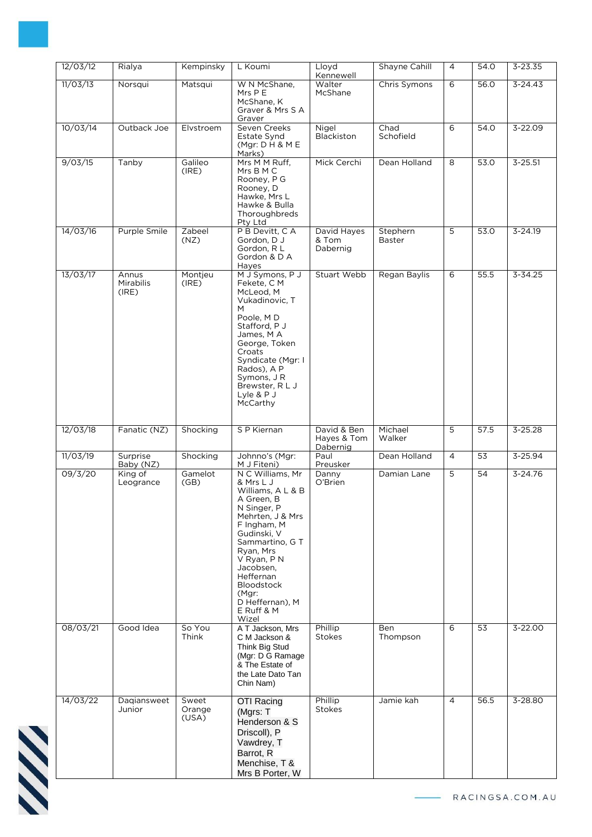| 12/03/12 | Rialya                             | Kempinsky                | L Koumi                                                                                                                                                                                                                                                                            | Lloyd<br>Kennewell               | Shayne Cahill             | $\overline{4}$ | 54.0            | $3 - 23.35$ |
|----------|------------------------------------|--------------------------|------------------------------------------------------------------------------------------------------------------------------------------------------------------------------------------------------------------------------------------------------------------------------------|----------------------------------|---------------------------|----------------|-----------------|-------------|
| 11/03/13 | Norsqui                            | Matsqui                  | W N McShane,<br>Mrs P E<br>McShane, K<br>Graver & Mrs S A<br>Graver                                                                                                                                                                                                                | Walter<br>McShane                | Chris Symons              | 6              | 56.0            | $3 - 24.43$ |
| 10/03/14 | Outback Joe                        | Elvstroem                | Seven Creeks<br>Estate Synd<br>(Mgr: D H & M E)<br>Marks)                                                                                                                                                                                                                          | Nigel<br>Blackiston              | Chad<br>Schofield         | 6              | 54.0            | 3-22.09     |
| 9/03/15  | Tanby                              | Galileo<br>(IRE)         | Mrs M M Ruff.<br>Mrs B M C<br>Rooney, P G<br>Rooney, D<br>Hawke, Mrs L<br>Hawke & Bulla<br>Thoroughbreds<br>Pty Ltd                                                                                                                                                                | Mick Cerchi                      | Dean Holland              | 8              | 53.0            | $3 - 25.51$ |
| 14/03/16 | Purple Smile                       | Zabeel<br>(NZ)           | P B Devitt, C A<br>Gordon, D J<br>Gordon, RL<br>Gordon & D A<br>Hayes                                                                                                                                                                                                              | David Hayes<br>& Tom<br>Dabernig | Stephern<br><b>Baster</b> | 5              | 53.0            | $3 - 24.19$ |
| 13/03/17 | Annus<br><b>Mirabilis</b><br>(IRE) | Montjeu<br>(IRE)         | M J Symons, P J<br>Fekete, C M<br>McLeod, M<br>Vukadinovic, T<br>M<br>Poole, MD<br>Stafford, P J<br>James, M A<br>George, Token<br>Croats<br>Syndicate (Mgr: I<br>Rados), A P<br>Symons, J R<br>Brewster, R L J<br>Lyle & P J<br>McCarthy                                          | <b>Stuart Webb</b>               | Regan Baylis              | 6              | 55.5            | $3 - 34.25$ |
| 12/03/18 | Fanatic (NZ)                       | Shocking                 | S P Kiernan                                                                                                                                                                                                                                                                        | David & Ben<br>Hayes & Tom       | Michael<br>Walker         | 5              | 57.5            | $3 - 25.28$ |
| 11/03/19 | Surprise<br>Baby (NZ)              | Shocking                 | Johnno's (Mgr:<br>M J Fiteni)                                                                                                                                                                                                                                                      | Dabernig<br>Paul<br>Preusker     | Dean Holland              | $\overline{4}$ | 53              | 3-25.94     |
| 09/3/20  | King of<br>Leogrance               | Gamelot<br>(GB)          | N C Williams, Mr<br>& Mrs L J<br>Williams, A L & B<br>A Green, B<br>N Singer, P<br>Mehrten, J & Mrs<br>F Ingham, M<br>Gudinski, V<br>Sammartino, G T<br>Ryan, Mrs<br>V Ryan, P N<br>Jacobsen,<br>Heffernan<br><b>Bloodstock</b><br>(Mgr:<br>D Heffernan), M<br>E Ruff & M<br>Wizel | Danny<br>O'Brien                 | Damian Lane               | 5              | 54              | $3 - 24.76$ |
| 08/03/21 | Good Idea                          | So You<br>Think          | A T Jackson, Mrs<br>C M Jackson &<br>Think Big Stud<br>(Mgr: D G Ramage<br>& The Estate of<br>the Late Dato Tan<br>Chin Nam)                                                                                                                                                       | Phillip<br><b>Stokes</b>         | Ben<br>Thompson           | 6              | $\overline{53}$ | $3 - 22.00$ |
| 14/03/22 | Dagiansweet<br>Junior              | Sweet<br>Orange<br>(USA) | <b>OTI Racing</b><br>(Mgrs: T<br>Henderson & S<br>Driscoll), P<br>Vawdrey, T<br>Barrot, R<br>Menchise, T &<br>Mrs B Porter, W                                                                                                                                                      | Phillip<br><b>Stokes</b>         | Jamie kah                 | $\overline{4}$ | 56.5            | 3-28.80     |